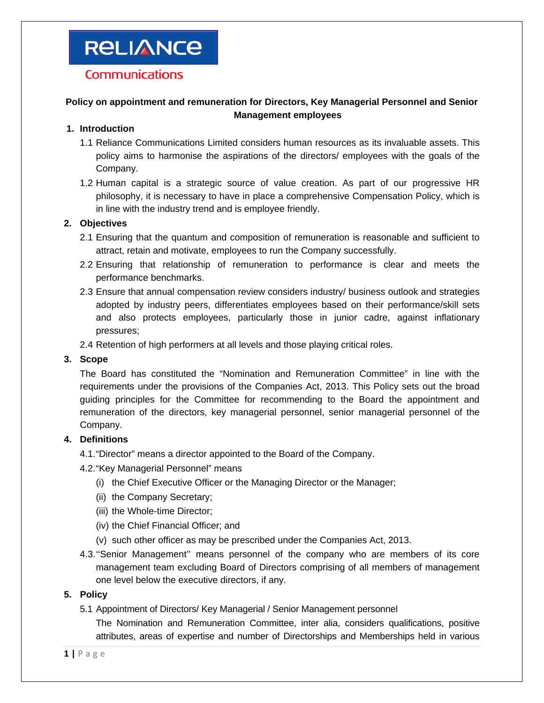# **RELIANCE**

## **Communications**

### **Policy on appointment and remuneration for Directors, Key Managerial Personnel and Senior Management employees**

#### **1. Introduction**

- 1.1 Reliance Communications Limited considers human resources as its invaluable assets. This policy aims to harmonise the aspirations of the directors/ employees with the goals of the Company.
- 1.2 Human capital is a strategic source of value creation. As part of our progressive HR philosophy, it is necessary to have in place a comprehensive Compensation Policy, which is in line with the industry trend and is employee friendly.

#### **2. Objectives**

- 2.1 Ensuring that the quantum and composition of remuneration is reasonable and sufficient to attract, retain and motivate, employees to run the Company successfully.
- 2.2 Ensuring that relationship of remuneration to performance is clear and meets the performance benchmarks.
- 2.3 Ensure that annual compensation review considers industry/ business outlook and strategies adopted by industry peers, differentiates employees based on their performance/skill sets and also protects employees, particularly those in junior cadre, against inflationary pressures;

2.4 Retention of high performers at all levels and those playing critical roles.

### **3. Scope**

 The Board has constituted the "Nomination and Remuneration Committee" in line with the requirements under the provisions of the Companies Act, 2013. This Policy sets out the broad guiding principles for the Committee for recommending to the Board the appointment and remuneration of the directors, key managerial personnel, senior managerial personnel of the Company.

### **4. Definitions**

4.1. "Director" means a director appointed to the Board of the Company.

4.2. "Key Managerial Personnel" means

- (i) the Chief Executive Officer or the Managing Director or the Manager;
- (ii) the Company Secretary;
- (iii) the Whole-time Director;
- (iv) the Chief Financial Officer; and
- (v) such other officer as may be prescribed under the Companies Act, 2013.
- 4.3. ''Senior Management'' means personnel of the company who are members of its core management team excluding Board of Directors comprising of all members of management one level below the executive directors, if any.

#### **5. Policy**

5.1 Appointment of Directors/ Key Managerial / Senior Management personnel

 The Nomination and Remuneration Committee, inter alia, considers qualifications, positive attributes, areas of expertise and number of Directorships and Memberships held in various